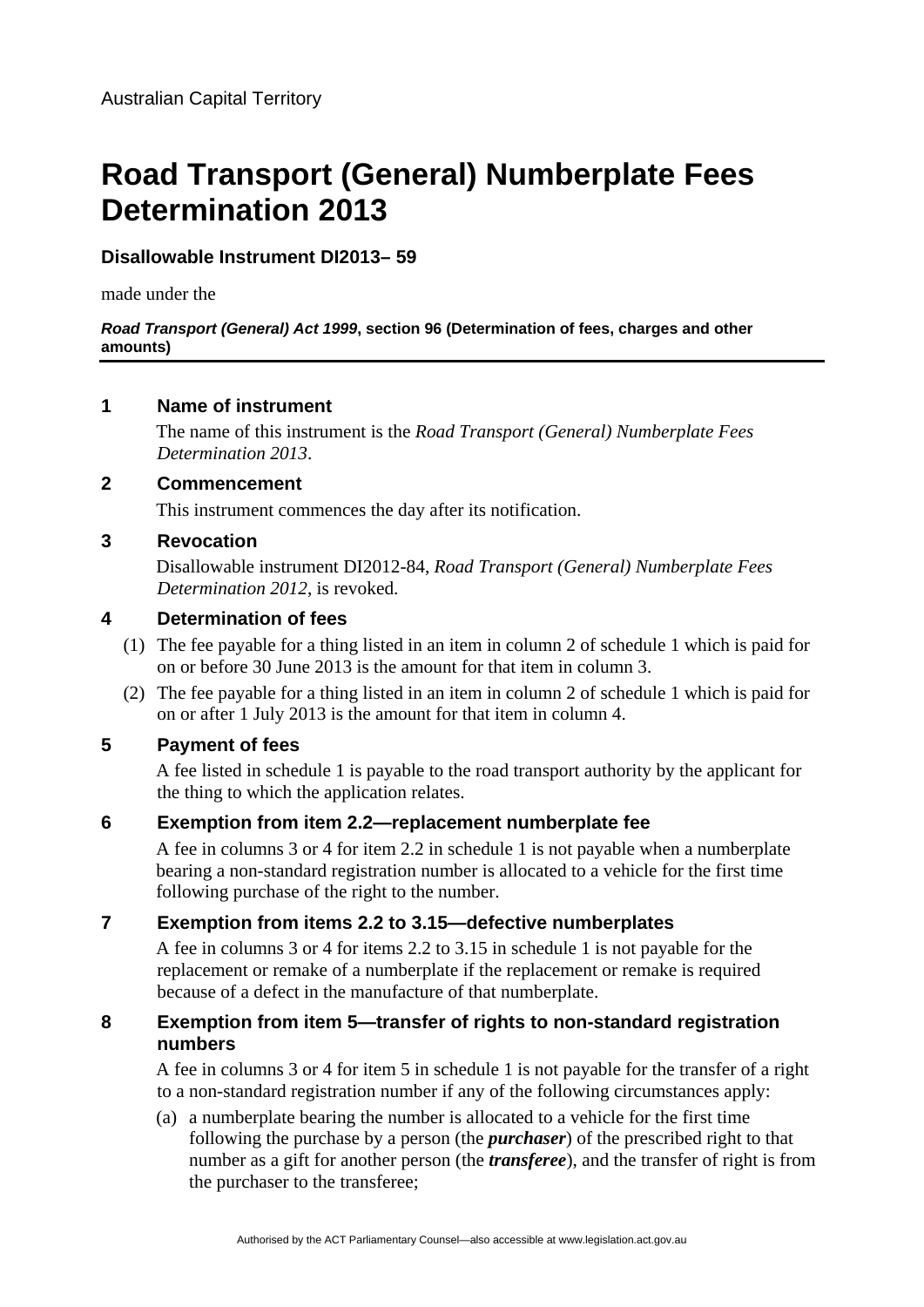# **Road Transport (General) Numberplate Fees Determination 2013**

# **Disallowable Instrument DI2013– 59**

made under the

#### *Road Transport (General) Act 1999***, section 96 (Determination of fees, charges and other amounts)**

#### **1 Name of instrument**

The name of this instrument is the *Road Transport (General) Numberplate Fees Determination 2013*.

#### **2 Commencement**

This instrument commences the day after its notification.

#### **3 Revocation**

Disallowable instrument DI2012-84, *Road Transport (General) Numberplate Fees Determination 2012*, is revoked.

#### **4 Determination of fees**

- (1) The fee payable for a thing listed in an item in column 2 of schedule 1 which is paid for on or before 30 June 2013 is the amount for that item in column 3.
- (2) The fee payable for a thing listed in an item in column 2 of schedule 1 which is paid for on or after 1 July 2013 is the amount for that item in column 4.

#### **5 Payment of fees**

A fee listed in schedule 1 is payable to the road transport authority by the applicant for the thing to which the application relates.

## **6 Exemption from item 2.2—replacement numberplate fee**

A fee in columns 3 or 4 for item 2.2 in schedule 1 is not payable when a numberplate bearing a non-standard registration number is allocated to a vehicle for the first time following purchase of the right to the number.

## **7 Exemption from items 2.2 to 3.15—defective numberplates**

A fee in columns 3 or 4 for items 2.2 to 3.15 in schedule 1 is not payable for the replacement or remake of a numberplate if the replacement or remake is required because of a defect in the manufacture of that numberplate.

#### **8 Exemption from item 5—transfer of rights to non-standard registration numbers**

A fee in columns 3 or 4 for item 5 in schedule 1 is not payable for the transfer of a right to a non-standard registration number if any of the following circumstances apply:

(a) a numberplate bearing the number is allocated to a vehicle for the first time following the purchase by a person (the *purchaser*) of the prescribed right to that number as a gift for another person (the *transferee*), and the transfer of right is from the purchaser to the transferee;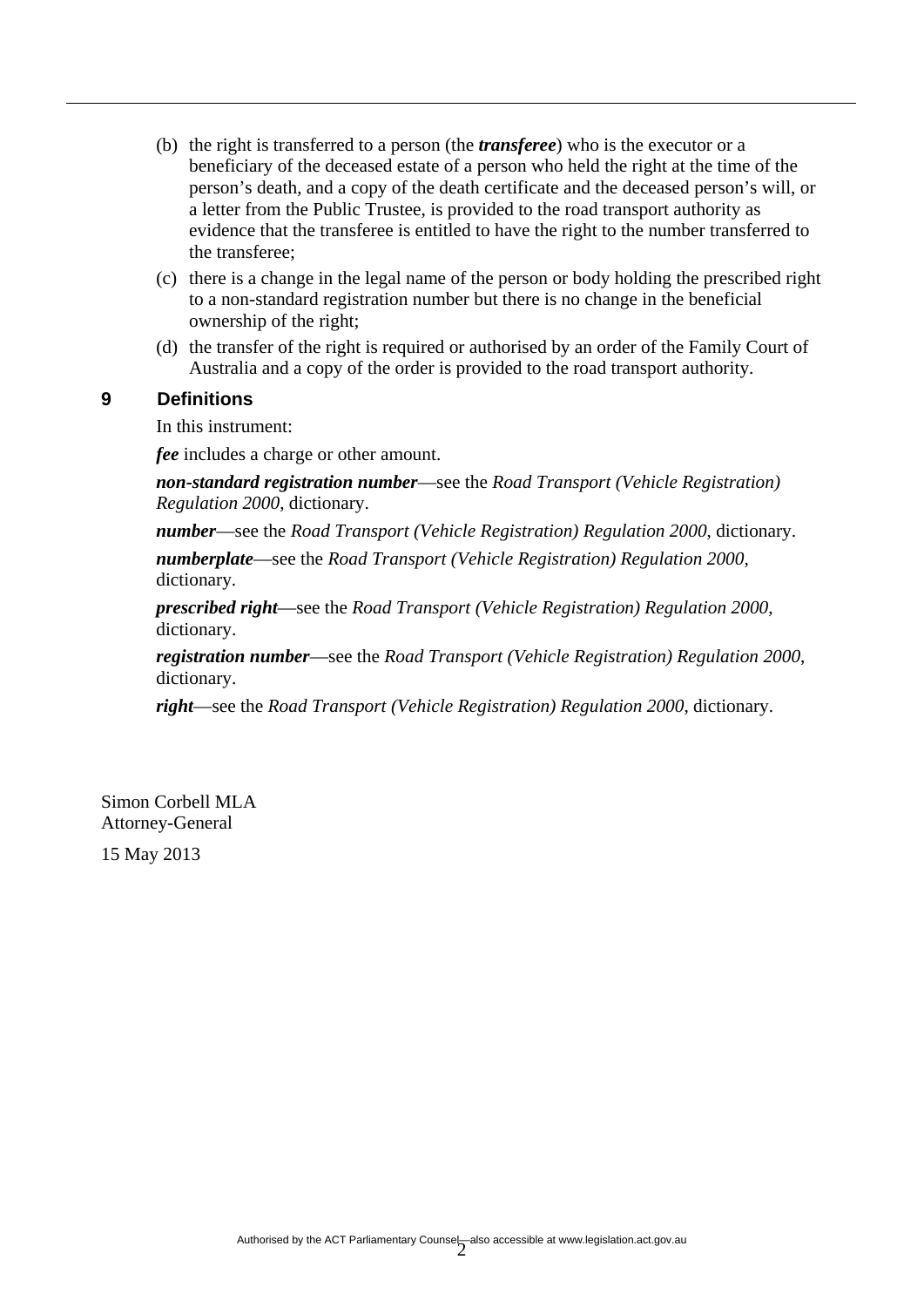- (b) the right is transferred to a person (the *transferee*) who is the executor or a beneficiary of the deceased estate of a person who held the right at the time of the person's death, and a copy of the death certificate and the deceased person's will, or a letter from the Public Trustee, is provided to the road transport authority as evidence that the transferee is entitled to have the right to the number transferred to the transferee;
- (c) there is a change in the legal name of the person or body holding the prescribed right to a non-standard registration number but there is no change in the beneficial ownership of the right;
- (d) the transfer of the right is required or authorised by an order of the Family Court of Australia and a copy of the order is provided to the road transport authority.

#### **9 Definitions**

In this instrument:

*fee* includes a charge or other amount.

*non-standard registration number*—see the *Road Transport (Vehicle Registration) Regulation 2000*, dictionary.

*number*—see the *Road Transport (Vehicle Registration) Regulation 2000*, dictionary.

*numberplate*—see the *Road Transport (Vehicle Registration) Regulation 2000*, dictionary.

*prescribed right*—see the *Road Transport (Vehicle Registration) Regulation 2000*, dictionary.

*registration number*—see the *Road Transport (Vehicle Registration) Regulation 2000*, dictionary.

*right*—see the *Road Transport (Vehicle Registration) Regulation 2000*, dictionary.

Simon Corbell MLA Attorney-General 15 May 2013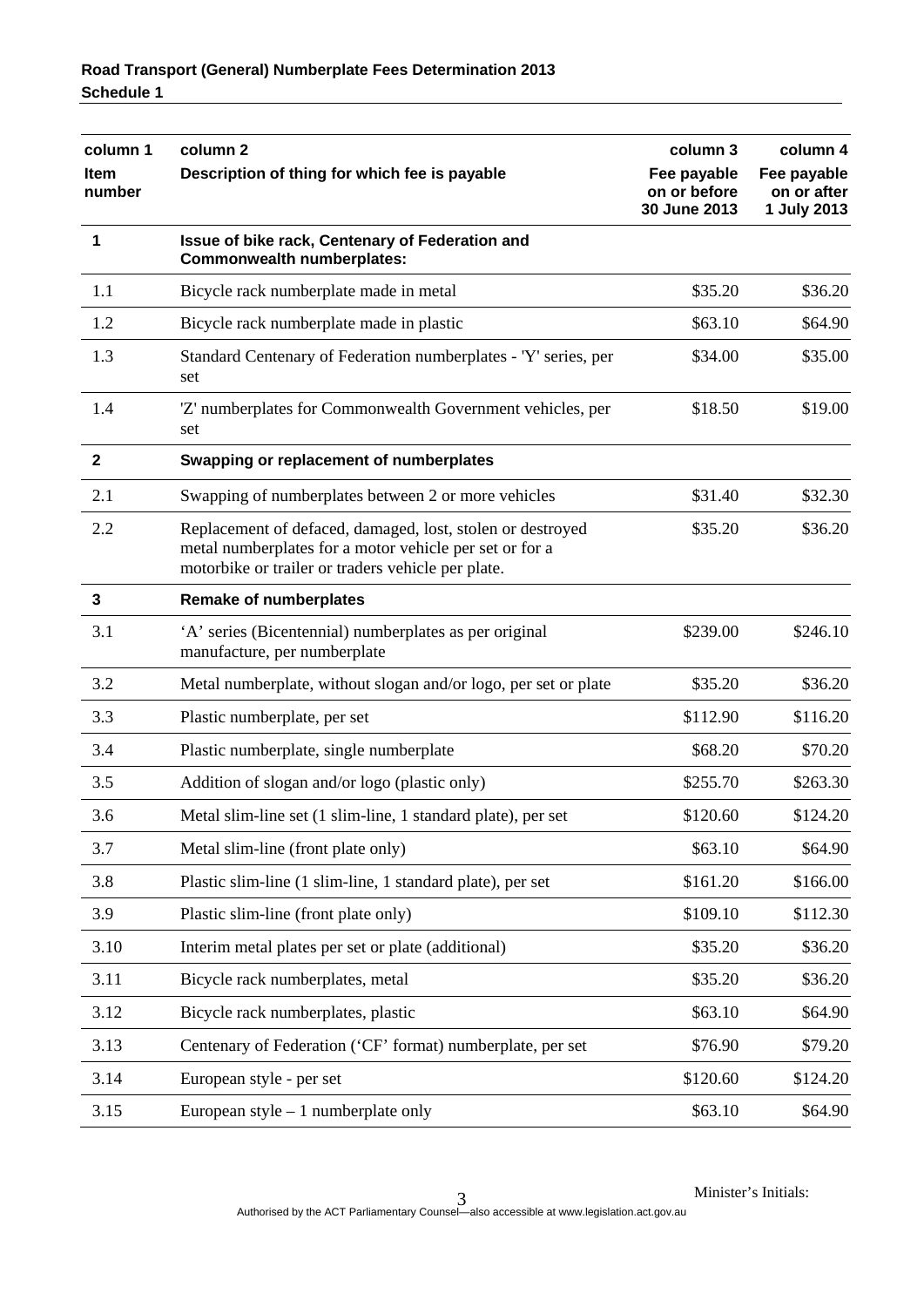| column 1<br><b>Item</b><br>number | column <sub>2</sub>                                                                                                                                                         | column 3                                    | column 4                                  |
|-----------------------------------|-----------------------------------------------------------------------------------------------------------------------------------------------------------------------------|---------------------------------------------|-------------------------------------------|
|                                   | Description of thing for which fee is payable                                                                                                                               | Fee payable<br>on or before<br>30 June 2013 | Fee payable<br>on or after<br>1 July 2013 |
| 1                                 | Issue of bike rack, Centenary of Federation and<br><b>Commonwealth numberplates:</b>                                                                                        |                                             |                                           |
| 1.1                               | Bicycle rack numberplate made in metal                                                                                                                                      | \$35.20                                     | \$36.20                                   |
| 1.2                               | Bicycle rack numberplate made in plastic                                                                                                                                    | \$63.10                                     | \$64.90                                   |
| 1.3                               | Standard Centenary of Federation numberplates - 'Y' series, per<br>set                                                                                                      | \$34.00                                     | \$35.00                                   |
| 1.4                               | 'Z' numberplates for Commonwealth Government vehicles, per<br>set                                                                                                           | \$18.50                                     | \$19.00                                   |
| 2                                 | Swapping or replacement of numberplates                                                                                                                                     |                                             |                                           |
| 2.1                               | Swapping of numberplates between 2 or more vehicles                                                                                                                         | \$31.40                                     | \$32.30                                   |
| 2.2                               | Replacement of defaced, damaged, lost, stolen or destroyed<br>metal numberplates for a motor vehicle per set or for a<br>motorbike or trailer or traders vehicle per plate. | \$35.20                                     | \$36.20                                   |
| 3                                 | <b>Remake of numberplates</b>                                                                                                                                               |                                             |                                           |
| 3.1                               | 'A' series (Bicentennial) numberplates as per original<br>manufacture, per numberplate                                                                                      | \$239.00                                    | \$246.10                                  |
| 3.2                               | Metal numberplate, without slogan and/or logo, per set or plate                                                                                                             | \$35.20                                     | \$36.20                                   |
| 3.3                               | Plastic numberplate, per set                                                                                                                                                | \$112.90                                    | \$116.20                                  |
| 3.4                               | Plastic numberplate, single numberplate                                                                                                                                     | \$68.20                                     | \$70.20                                   |
| 3.5                               | Addition of slogan and/or logo (plastic only)                                                                                                                               | \$255.70                                    | \$263.30                                  |
| 3.6                               | Metal slim-line set (1 slim-line, 1 standard plate), per set                                                                                                                | \$120.60                                    | \$124.20                                  |
| 3.7                               | Metal slim-line (front plate only)                                                                                                                                          | \$63.10                                     | \$64.90                                   |
| 3.8                               | Plastic slim-line (1 slim-line, 1 standard plate), per set                                                                                                                  | \$161.20                                    | \$166.00                                  |
| 3.9                               | Plastic slim-line (front plate only)                                                                                                                                        | \$109.10                                    | \$112.30                                  |
| 3.10                              | Interim metal plates per set or plate (additional)                                                                                                                          | \$35.20                                     | \$36.20                                   |
| 3.11                              | Bicycle rack numberplates, metal                                                                                                                                            | \$35.20                                     | \$36.20                                   |
| 3.12                              | Bicycle rack numberplates, plastic                                                                                                                                          | \$63.10                                     | \$64.90                                   |
| 3.13                              | Centenary of Federation ('CF' format) numberplate, per set                                                                                                                  | \$76.90                                     | \$79.20                                   |
| 3.14                              | European style - per set                                                                                                                                                    | \$120.60                                    | \$124.20                                  |
| 3.15                              | European style $-1$ numberplate only                                                                                                                                        | \$63.10                                     | \$64.90                                   |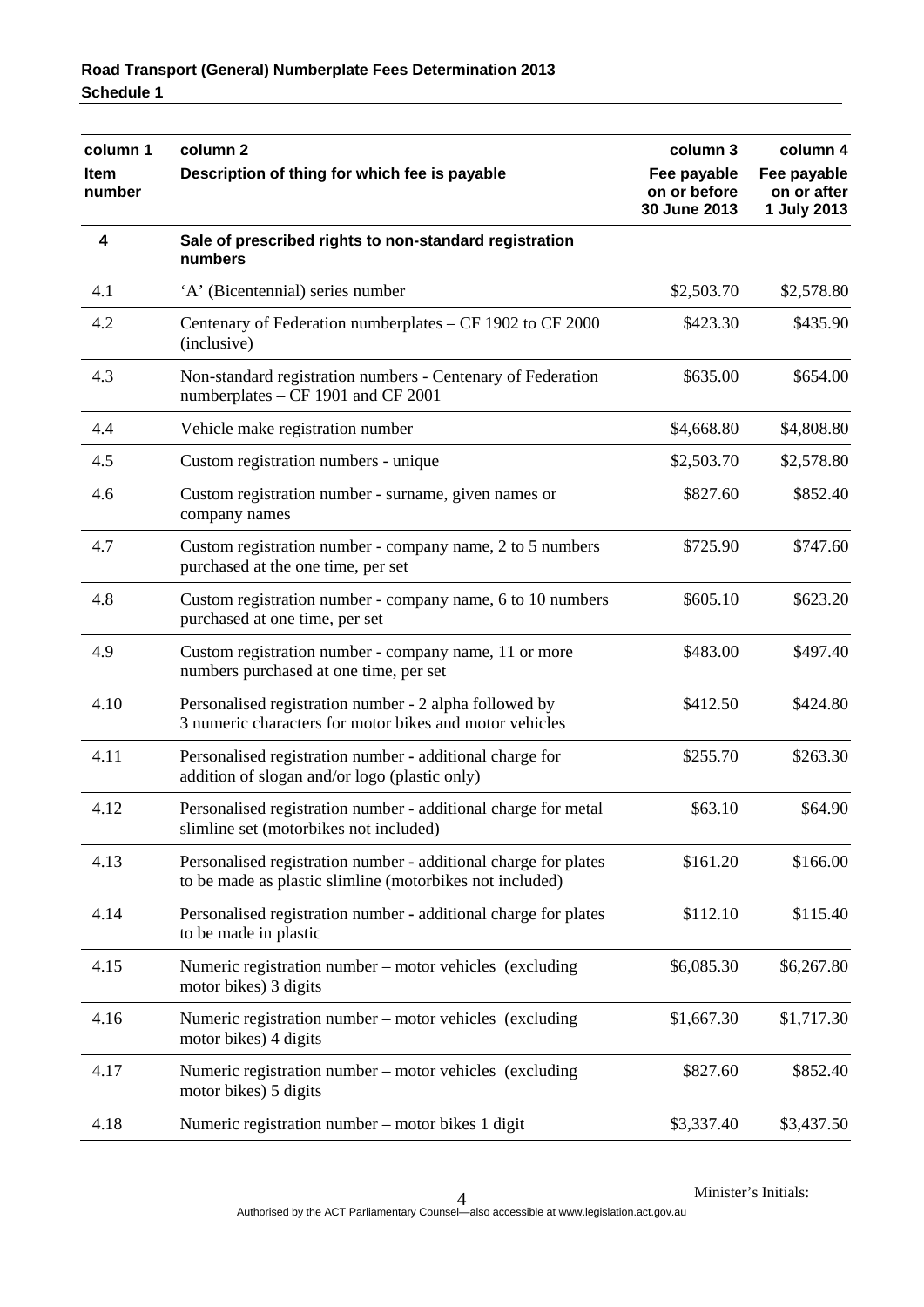| column 1<br>Item<br>number | column <sub>2</sub><br>Description of thing for which fee is payable                                                        | column 3                                    | column 4                                  |
|----------------------------|-----------------------------------------------------------------------------------------------------------------------------|---------------------------------------------|-------------------------------------------|
|                            |                                                                                                                             | Fee payable<br>on or before<br>30 June 2013 | Fee payable<br>on or after<br>1 July 2013 |
| 4                          | Sale of prescribed rights to non-standard registration<br>numbers                                                           |                                             |                                           |
| 4.1                        | 'A' (Bicentennial) series number                                                                                            | \$2,503.70                                  | \$2,578.80                                |
| 4.2                        | Centenary of Federation numberplates - CF 1902 to CF 2000<br>(inclusive)                                                    | \$423.30                                    | \$435.90                                  |
| 4.3                        | Non-standard registration numbers - Centenary of Federation<br>numberplates – CF 1901 and CF 2001                           | \$635.00                                    | \$654.00                                  |
| 4.4                        | Vehicle make registration number                                                                                            | \$4,668.80                                  | \$4,808.80                                |
| 4.5                        | Custom registration numbers - unique                                                                                        | \$2,503.70                                  | \$2,578.80                                |
| 4.6                        | Custom registration number - surname, given names or<br>company names                                                       | \$827.60                                    | \$852.40                                  |
| 4.7                        | Custom registration number - company name, 2 to 5 numbers<br>purchased at the one time, per set                             | \$725.90                                    | \$747.60                                  |
| 4.8                        | Custom registration number - company name, 6 to 10 numbers<br>purchased at one time, per set                                | \$605.10                                    | \$623.20                                  |
| 4.9                        | Custom registration number - company name, 11 or more<br>numbers purchased at one time, per set                             | \$483.00                                    | \$497.40                                  |
| 4.10                       | Personalised registration number - 2 alpha followed by<br>3 numeric characters for motor bikes and motor vehicles           | \$412.50                                    | \$424.80                                  |
| 4.11                       | Personalised registration number - additional charge for<br>addition of slogan and/or logo (plastic only)                   | \$255.70                                    | \$263.30                                  |
| 4.12                       | Personalised registration number - additional charge for metal<br>slimline set (motorbikes not included)                    | \$63.10                                     | \$64.90                                   |
| 4.13                       | Personalised registration number - additional charge for plates<br>to be made as plastic slimline (motorbikes not included) | \$161.20                                    | \$166.00                                  |
| 4.14                       | Personalised registration number - additional charge for plates<br>to be made in plastic                                    | \$112.10                                    | \$115.40                                  |
| 4.15                       | Numeric registration number – motor vehicles (excluding<br>motor bikes) 3 digits                                            | \$6,085.30                                  | \$6,267.80                                |
| 4.16                       | Numeric registration number – motor vehicles (excluding<br>motor bikes) 4 digits                                            | \$1,667.30                                  | \$1,717.30                                |
| 4.17                       | Numeric registration number - motor vehicles (excluding<br>motor bikes) 5 digits                                            | \$827.60                                    | \$852.40                                  |
| 4.18                       | Numeric registration number - motor bikes 1 digit                                                                           | \$3,337.40                                  | \$3,437.50                                |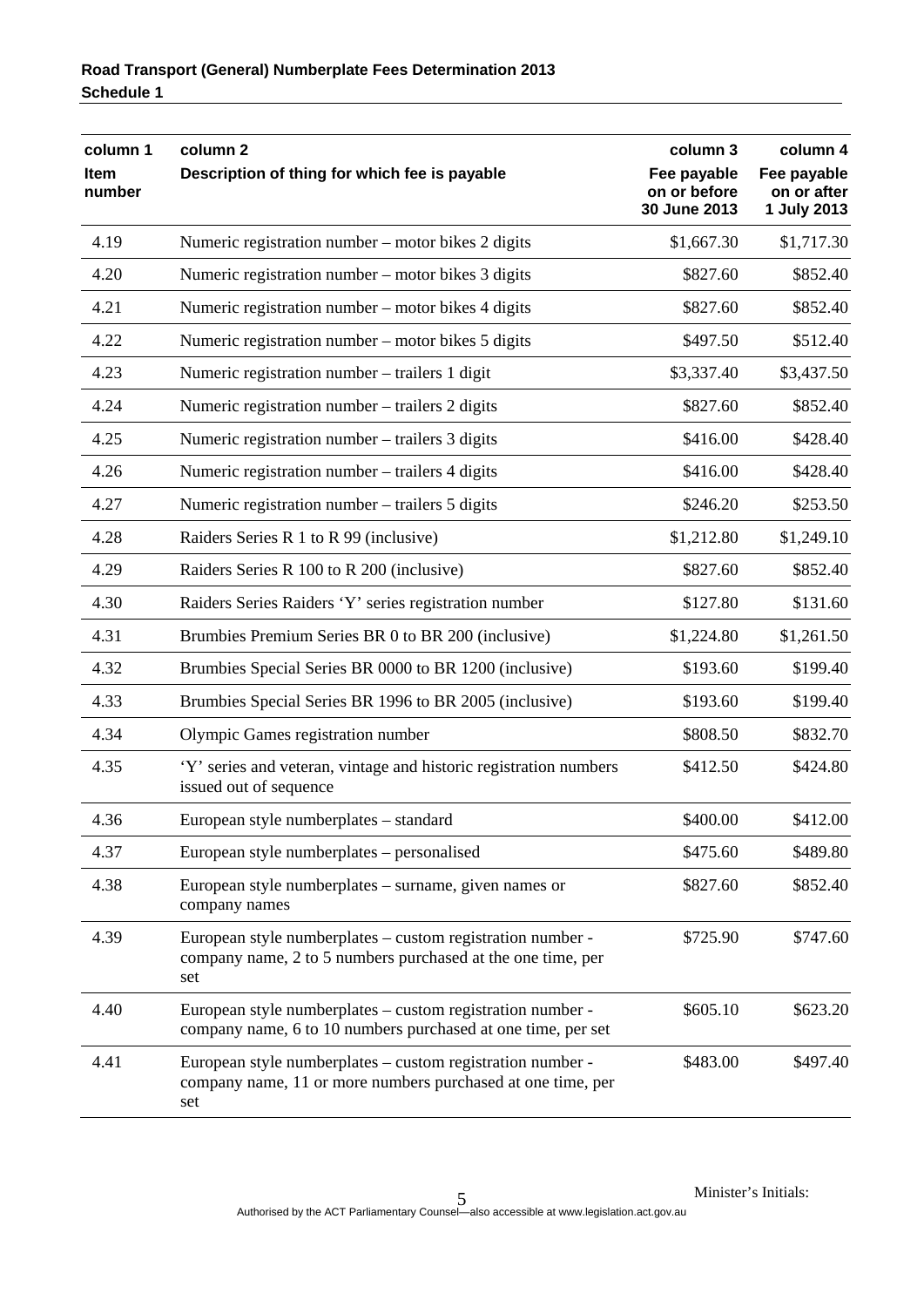| column 1<br><b>Item</b><br>number | column <sub>2</sub><br>Description of thing for which fee is payable                                                             | column 3<br>Fee payable<br>on or before<br>30 June 2013 | column 4<br>Fee payable<br>on or after<br>1 July 2013 |
|-----------------------------------|----------------------------------------------------------------------------------------------------------------------------------|---------------------------------------------------------|-------------------------------------------------------|
| 4.19                              | Numeric registration number – motor bikes 2 digits                                                                               | \$1,667.30                                              | \$1,717.30                                            |
| 4.20                              | Numeric registration number – motor bikes 3 digits                                                                               | \$827.60                                                | \$852.40                                              |
| 4.21                              | Numeric registration number – motor bikes 4 digits                                                                               | \$827.60                                                | \$852.40                                              |
| 4.22                              | Numeric registration number – motor bikes 5 digits                                                                               | \$497.50                                                | \$512.40                                              |
| 4.23                              | Numeric registration number – trailers 1 digit                                                                                   | \$3,337.40                                              | \$3,437.50                                            |
| 4.24                              | Numeric registration number – trailers 2 digits                                                                                  | \$827.60                                                | \$852.40                                              |
| 4.25                              | Numeric registration number – trailers 3 digits                                                                                  | \$416.00                                                | \$428.40                                              |
| 4.26                              | Numeric registration number – trailers 4 digits                                                                                  | \$416.00                                                | \$428.40                                              |
| 4.27                              | Numeric registration number – trailers 5 digits                                                                                  | \$246.20                                                | \$253.50                                              |
| 4.28                              | Raiders Series R 1 to R 99 (inclusive)                                                                                           | \$1,212.80                                              | \$1,249.10                                            |
| 4.29                              | Raiders Series R 100 to R 200 (inclusive)                                                                                        | \$827.60                                                | \$852.40                                              |
| 4.30                              | Raiders Series Raiders 'Y' series registration number                                                                            | \$127.80                                                | \$131.60                                              |
| 4.31                              | Brumbies Premium Series BR 0 to BR 200 (inclusive)                                                                               | \$1,224.80                                              | \$1,261.50                                            |
| 4.32                              | Brumbies Special Series BR 0000 to BR 1200 (inclusive)                                                                           | \$193.60                                                | \$199.40                                              |
| 4.33                              | Brumbies Special Series BR 1996 to BR 2005 (inclusive)                                                                           | \$193.60                                                | \$199.40                                              |
| 4.34                              | Olympic Games registration number                                                                                                | \$808.50                                                | \$832.70                                              |
| 4.35                              | 'Y' series and veteran, vintage and historic registration numbers<br>issued out of sequence                                      | \$412.50                                                | \$424.80                                              |
| 4.36                              | European style numberplates - standard                                                                                           | \$400.00                                                | \$412.00                                              |
| 4.37                              | European style numberplates – personalised                                                                                       | \$475.60                                                | \$489.80                                              |
| 4.38                              | European style numberplates – surname, given names or<br>company names                                                           | \$827.60                                                | \$852.40                                              |
| 4.39                              | European style numberplates – custom registration number -<br>company name, 2 to 5 numbers purchased at the one time, per<br>set | \$725.90                                                | \$747.60                                              |
| 4.40                              | European style numberplates – custom registration number -<br>company name, 6 to 10 numbers purchased at one time, per set       | \$605.10                                                | \$623.20                                              |
| 4.41                              | European style numberplates – custom registration number -<br>company name, 11 or more numbers purchased at one time, per<br>set | \$483.00                                                | \$497.40                                              |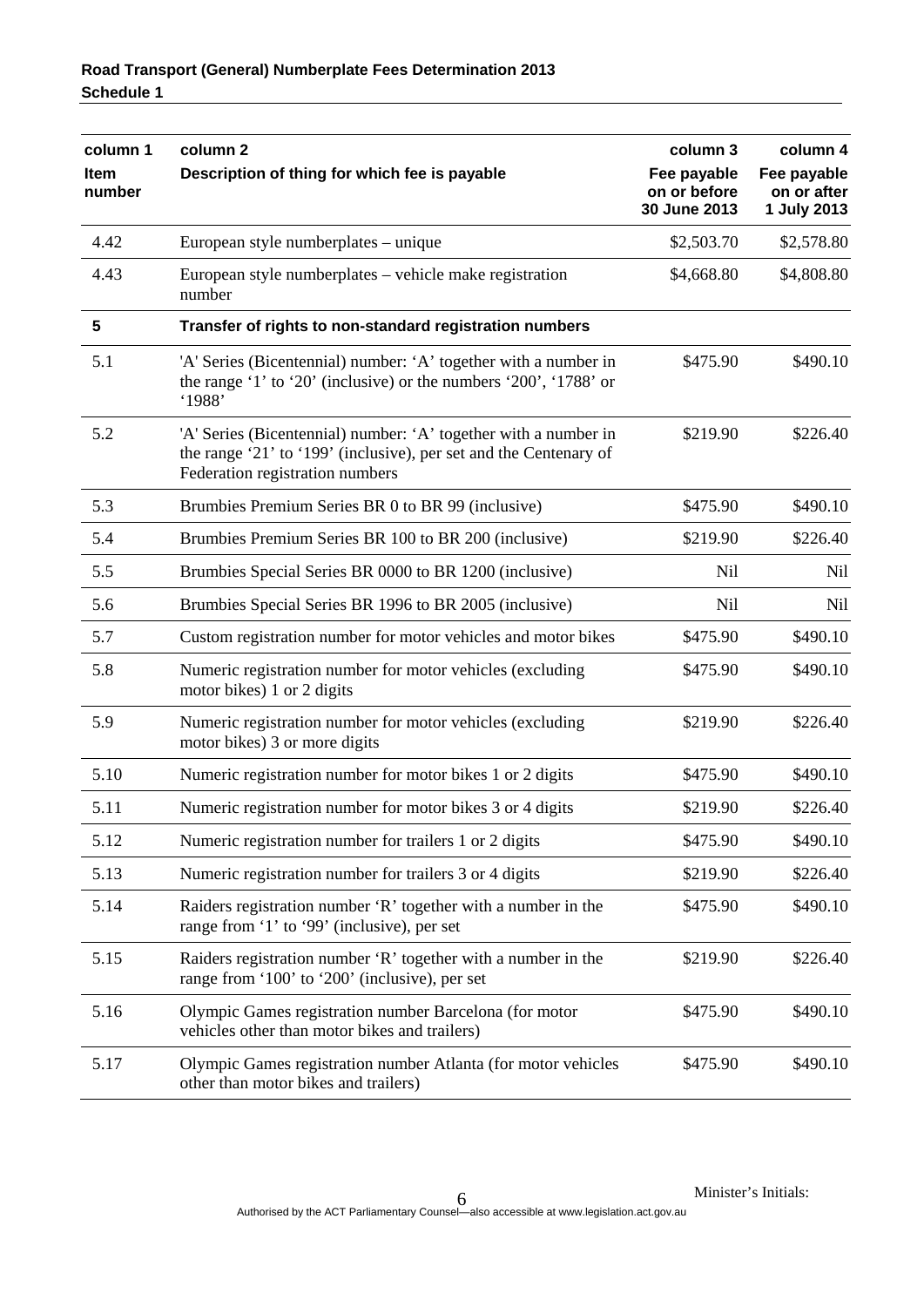| column 1<br>Item<br>number | column <sub>2</sub><br>Description of thing for which fee is payable                                                                                                    | column 3<br>Fee payable<br>on or before<br>30 June 2013 | column 4<br>Fee payable<br>on or after<br>1 July 2013 |
|----------------------------|-------------------------------------------------------------------------------------------------------------------------------------------------------------------------|---------------------------------------------------------|-------------------------------------------------------|
| 4.42                       | European style numberplates – unique                                                                                                                                    | \$2,503.70                                              | \$2,578.80                                            |
| 4.43                       | European style numberplates – vehicle make registration<br>number                                                                                                       | \$4,668.80                                              | \$4,808.80                                            |
| 5                          | Transfer of rights to non-standard registration numbers                                                                                                                 |                                                         |                                                       |
| 5.1                        | 'A' Series (Bicentennial) number: 'A' together with a number in<br>the range '1' to '20' (inclusive) or the numbers '200', '1788' or<br>'1988'                          | \$475.90                                                | \$490.10                                              |
| 5.2                        | 'A' Series (Bicentennial) number: 'A' together with a number in<br>the range '21' to '199' (inclusive), per set and the Centenary of<br>Federation registration numbers | \$219.90                                                | \$226.40                                              |
| 5.3                        | Brumbies Premium Series BR 0 to BR 99 (inclusive)                                                                                                                       | \$475.90                                                | \$490.10                                              |
| 5.4                        | Brumbies Premium Series BR 100 to BR 200 (inclusive)                                                                                                                    | \$219.90                                                | \$226.40                                              |
| 5.5                        | Brumbies Special Series BR 0000 to BR 1200 (inclusive)                                                                                                                  | <b>Nil</b>                                              | Nil                                                   |
| 5.6                        | Brumbies Special Series BR 1996 to BR 2005 (inclusive)                                                                                                                  | <b>Nil</b>                                              | Nil                                                   |
| 5.7                        | Custom registration number for motor vehicles and motor bikes                                                                                                           | \$475.90                                                | \$490.10                                              |
| 5.8                        | Numeric registration number for motor vehicles (excluding<br>motor bikes) 1 or 2 digits                                                                                 | \$475.90                                                | \$490.10                                              |
| 5.9                        | Numeric registration number for motor vehicles (excluding<br>motor bikes) 3 or more digits                                                                              | \$219.90                                                | \$226.40                                              |
| 5.10                       | Numeric registration number for motor bikes 1 or 2 digits                                                                                                               | \$475.90                                                | \$490.10                                              |
| 5.11                       | Numeric registration number for motor bikes 3 or 4 digits                                                                                                               | \$219.90                                                | \$226.40                                              |
| 5.12                       | Numeric registration number for trailers 1 or 2 digits                                                                                                                  | \$475.90                                                | \$490.10                                              |
| 5.13                       | Numeric registration number for trailers 3 or 4 digits                                                                                                                  | \$219.90                                                | \$226.40                                              |
| 5.14                       | Raiders registration number 'R' together with a number in the<br>range from '1' to '99' (inclusive), per set                                                            | \$475.90                                                | \$490.10                                              |
| 5.15                       | Raiders registration number 'R' together with a number in the<br>range from '100' to '200' (inclusive), per set                                                         | \$219.90                                                | \$226.40                                              |
| 5.16                       | Olympic Games registration number Barcelona (for motor<br>vehicles other than motor bikes and trailers)                                                                 | \$475.90                                                | \$490.10                                              |
| 5.17                       | Olympic Games registration number Atlanta (for motor vehicles<br>other than motor bikes and trailers)                                                                   | \$475.90                                                | \$490.10                                              |